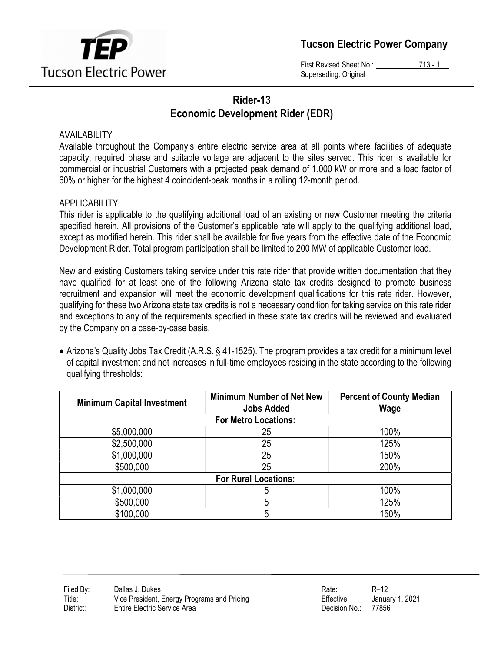

Tucson Electric Power Company

First Revised Sheet No.: 713 - 1 Superseding: Original

# Rider-13 Economic Development Rider (EDR)

### AVAILABILITY

Available throughout the Company's entire electric service area at all points where facilities of adequate capacity, required phase and suitable voltage are adjacent to the sites served. This rider is available for commercial or industrial Customers with a projected peak demand of 1,000 kW or more and a load factor of 60% or higher for the highest 4 coincident-peak months in a rolling 12-month period.

# **APPLICABILITY**

This rider is applicable to the qualifying additional load of an existing or new Customer meeting the criteria specified herein. All provisions of the Customer's applicable rate will apply to the qualifying additional load, except as modified herein. This rider shall be available for five years from the effective date of the Economic Development Rider. Total program participation shall be limited to 200 MW of applicable Customer load.

New and existing Customers taking service under this rate rider that provide written documentation that they have qualified for at least one of the following Arizona state tax credits designed to promote business recruitment and expansion will meet the economic development qualifications for this rate rider. However, qualifying for these two Arizona state tax credits is not a necessary condition for taking service on this rate rider and exceptions to any of the requirements specified in these state tax credits will be reviewed and evaluated by the Company on a case-by-case basis.

 Arizona's Quality Jobs Tax Credit (A.R.S. § 41-1525). The program provides a tax credit for a minimum level of capital investment and net increases in full-time employees residing in the state according to the following qualifying thresholds:

| <b>Minimum Capital Investment</b> | <b>Minimum Number of Net New</b><br><b>Jobs Added</b> | <b>Percent of County Median</b><br>Wage |  |  |
|-----------------------------------|-------------------------------------------------------|-----------------------------------------|--|--|
| <b>For Metro Locations:</b>       |                                                       |                                         |  |  |
| \$5,000,000                       | 25                                                    | 100%                                    |  |  |
| \$2,500,000                       | 25                                                    | 125%                                    |  |  |
| \$1,000,000                       | 25                                                    | 150%                                    |  |  |
| \$500,000                         | 25                                                    | 200%                                    |  |  |
| <b>For Rural Locations:</b>       |                                                       |                                         |  |  |
| \$1,000,000                       | 5                                                     | 100%                                    |  |  |
| \$500,000                         | 5                                                     | 125%                                    |  |  |
| \$100,000                         | 5                                                     | 150%                                    |  |  |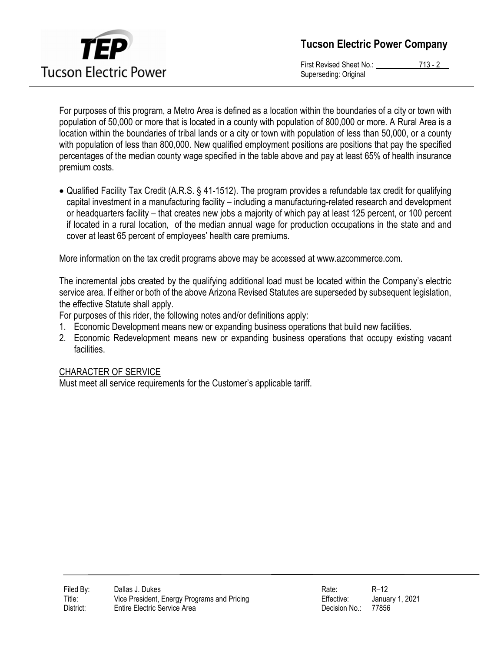

Tucson Electric Power Company

First Revised Sheet No.: 713 - 2 Superseding: Original

For purposes of this program, a Metro Area is defined as a location within the boundaries of a city or town with population of 50,000 or more that is located in a county with population of 800,000 or more. A Rural Area is a location within the boundaries of tribal lands or a city or town with population of less than 50,000, or a county with population of less than 800,000. New qualified employment positions are positions that pay the specified percentages of the median county wage specified in the table above and pay at least 65% of health insurance premium costs.

 Qualified Facility Tax Credit (A.R.S. § 41-1512). The program provides a refundable tax credit for qualifying capital investment in a manufacturing facility – including a manufacturing-related research and development or headquarters facility – that creates new jobs a majority of which pay at least 125 percent, or 100 percent if located in a rural location, of the median annual wage for production occupations in the state and and cover at least 65 percent of employees' health care premiums.

More information on the tax credit programs above may be accessed at www.azcommerce.com.

The incremental jobs created by the qualifying additional load must be located within the Company's electric service area. If either or both of the above Arizona Revised Statutes are superseded by subsequent legislation, the effective Statute shall apply.

For purposes of this rider, the following notes and/or definitions apply:

- 1. Economic Development means new or expanding business operations that build new facilities.
- 2. Economic Redevelopment means new or expanding business operations that occupy existing vacant facilities.

#### CHARACTER OF SERVICE

Must meet all service requirements for the Customer's applicable tariff.